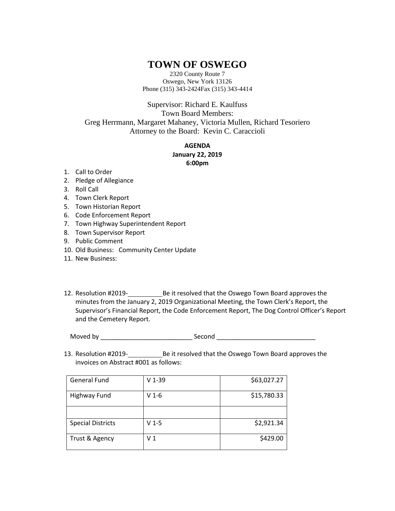## **TOWN OF OSWEGO**

2320 County Route 7 Oswego, New York 13126 Phone (315) 343-2424Fax (315) 343-4414

Supervisor: Richard E. Kaulfuss Town Board Members: Greg Herrmann, Margaret Mahaney, Victoria Mullen, Richard Tesoriero Attorney to the Board: Kevin C. Caraccioli

> **AGENDA January 22, 2019 6:00pm**

- 1. Call to Order
- 2. Pledge of Allegiance
- 3. Roll Call
- 4. Town Clerk Report
- 5. Town Historian Report
- 6. Code Enforcement Report
- 7. Town Highway Superintendent Report
- 8. Town Supervisor Report
- 9. Public Comment
- 10. Old Business: Community Center Update
- 11. New Business:
- 12. Resolution #2019-<br>
Be it resolved that the Oswego Town Board approves the minutes from the January 2, 2019 Organizational Meeting, the Town Clerk's Report, the Supervisor's Financial Report, the Code Enforcement Report, The Dog Control Officer's Report and the Cemetery Report.

Moved by \_\_\_\_\_\_\_\_\_\_\_\_\_\_\_\_\_\_\_\_\_\_\_\_\_\_ Second \_\_\_\_\_\_\_\_\_\_\_\_\_\_\_\_\_\_\_\_\_\_\_\_\_\_\_\_

13. Resolution #2019-<br>Be it resolved that the Oswego Town Board approves the invoices on Abstract #001 as follows:

| <b>General Fund</b>      | $V$ 1-39 | \$63,027.27 |
|--------------------------|----------|-------------|
| <b>Highway Fund</b>      | $V$ 1-6  | \$15,780.33 |
|                          |          |             |
| <b>Special Districts</b> | $V$ 1-5  | \$2,921.34  |
| Trust & Agency           | V 1      | \$429.00    |